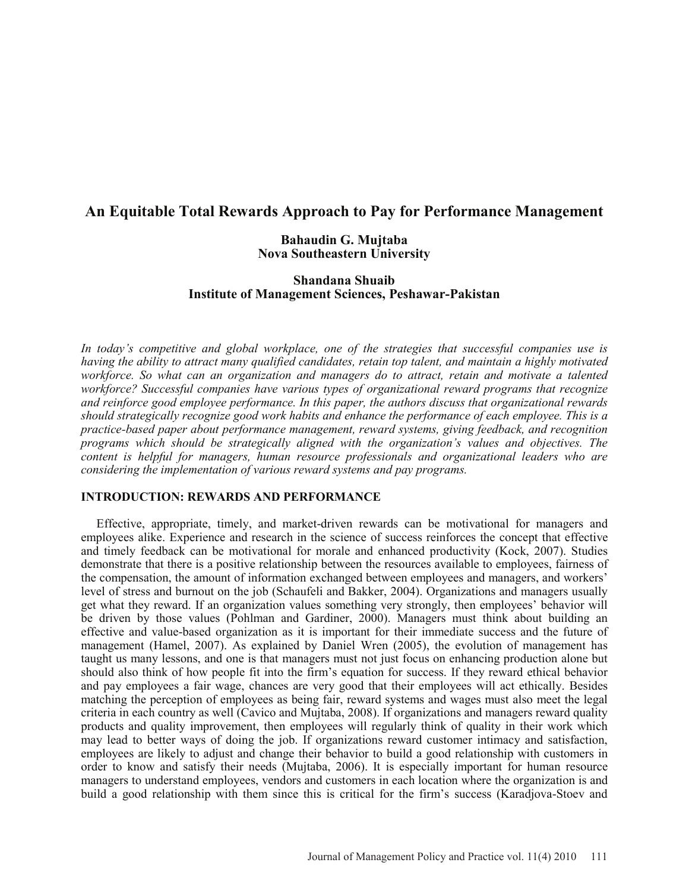# **An Equitable Total Rewards Approach to Pay for Performance Management**

# **Bahaudin G. Mujtaba Nova Southeastern University**

# **Shandana Shuaib Institute of Management Sciences, Peshawar-Pakistan**

In today's competitive and global workplace, one of the strategies that successful companies use is *having the ability to attract many qualified candidates, retain top talent, and maintain a highly motivated workforce. So what can an organization and managers do to attract, retain and motivate a talented workforce? Successful companies have various types of organizational reward programs that recognize and reinforce good employee performance. In this paper, the authors discuss that organizational rewards should strategically recognize good work habits and enhance the performance of each employee. This is a practice-based paper about performance management, reward systems, giving feedback, and recognition programs which should be strategically aligned with the organization's values and objectives. The content is helpful for managers, human resource professionals and organizational leaders who are considering the implementation of various reward systems and pay programs.*

# **INTRODUCTION: REWARDS AND PERFORMANCE**

Effective, appropriate, timely, and market-driven rewards can be motivational for managers and employees alike. Experience and research in the science of success reinforces the concept that effective and timely feedback can be motivational for morale and enhanced productivity (Kock, 2007). Studies demonstrate that there is a positive relationship between the resources available to employees, fairness of the compensation, the amount of information exchanged between employees and managers, and workers' level of stress and burnout on the job (Schaufeli and Bakker, 2004). Organizations and managers usually get what they reward. If an organization values something very strongly, then employees' behavior will be driven by those values (Pohlman and Gardiner, 2000). Managers must think about building an effective and value-based organization as it is important for their immediate success and the future of management (Hamel, 2007). As explained by Daniel Wren (2005), the evolution of management has taught us many lessons, and one is that managers must not just focus on enhancing production alone but should also think of how people fit into the firm's equation for success. If they reward ethical behavior and pay employees a fair wage, chances are very good that their employees will act ethically. Besides matching the perception of employees as being fair, reward systems and wages must also meet the legal criteria in each country as well (Cavico and Mujtaba, 2008). If organizations and managers reward quality products and quality improvement, then employees will regularly think of quality in their work which may lead to better ways of doing the job. If organizations reward customer intimacy and satisfaction, employees are likely to adjust and change their behavior to build a good relationship with customers in order to know and satisfy their needs (Mujtaba, 2006). It is especially important for human resource managers to understand employees, vendors and customers in each location where the organization is and build a good relationship with them since this is critical for the firm's success (Karadjova-Stoev and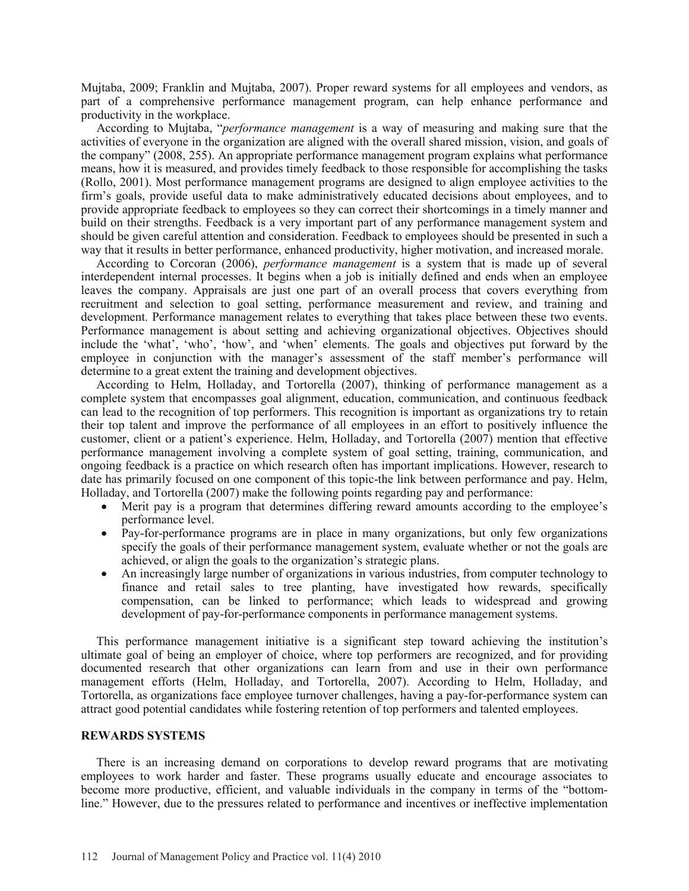Mujtaba, 2009; Franklin and Mujtaba, 2007). Proper reward systems for all employees and vendors, as part of a comprehensive performance management program, can help enhance performance and productivity in the workplace.

According to Mujtaba, "*performance management* is a way of measuring and making sure that the activities of everyone in the organization are aligned with the overall shared mission, vision, and goals of the company" (2008, 255). An appropriate performance management program explains what performance means, how it is measured, and provides timely feedback to those responsible for accomplishing the tasks (Rollo, 2001). Most performance management programs are designed to align employee activities to the firm's goals, provide useful data to make administratively educated decisions about employees, and to provide appropriate feedback to employees so they can correct their shortcomings in a timely manner and build on their strengths. Feedback is a very important part of any performance management system and should be given careful attention and consideration. Feedback to employees should be presented in such a way that it results in better performance, enhanced productivity, higher motivation, and increased morale.

According to Corcoran (2006), *performance management* is a system that is made up of several interdependent internal processes. It begins when a job is initially defined and ends when an employee leaves the company. Appraisals are just one part of an overall process that covers everything from recruitment and selection to goal setting, performance measurement and review, and training and development. Performance management relates to everything that takes place between these two events. Performance management is about setting and achieving organizational objectives. Objectives should include the 'what', 'who', 'how', and 'when' elements. The goals and objectives put forward by the employee in conjunction with the manager's assessment of the staff member's performance will determine to a great extent the training and development objectives.

According to Helm, Holladay, and Tortorella (2007), thinking of performance management as a complete system that encompasses goal alignment, education, communication, and continuous feedback can lead to the recognition of top performers. This recognition is important as organizations try to retain their top talent and improve the performance of all employees in an effort to positively influence the customer, client or a patient's experience. Helm, Holladay, and Tortorella (2007) mention that effective performance management involving a complete system of goal setting, training, communication, and ongoing feedback is a practice on which research often has important implications. However, research to date has primarily focused on one component of this topic-the link between performance and pay. Helm, Holladay, and Tortorella (2007) make the following points regarding pay and performance:

- x Merit pay is a program that determines differing reward amounts according to the employee's performance level.
- Pay-for-performance programs are in place in many organizations, but only few organizations specify the goals of their performance management system, evaluate whether or not the goals are achieved, or align the goals to the organization's strategic plans.
- x An increasingly large number of organizations in various industries, from computer technology to finance and retail sales to tree planting, have investigated how rewards, specifically compensation, can be linked to performance; which leads to widespread and growing development of pay-for-performance components in performance management systems.

This performance management initiative is a significant step toward achieving the institution's ultimate goal of being an employer of choice, where top performers are recognized, and for providing documented research that other organizations can learn from and use in their own performance management efforts (Helm, Holladay, and Tortorella, 2007). According to Helm, Holladay, and Tortorella, as organizations face employee turnover challenges, having a pay-for-performance system can attract good potential candidates while fostering retention of top performers and talented employees.

# **REWARDS SYSTEMS**

There is an increasing demand on corporations to develop reward programs that are motivating employees to work harder and faster. These programs usually educate and encourage associates to become more productive, efficient, and valuable individuals in the company in terms of the "bottomline." However, due to the pressures related to performance and incentives or ineffective implementation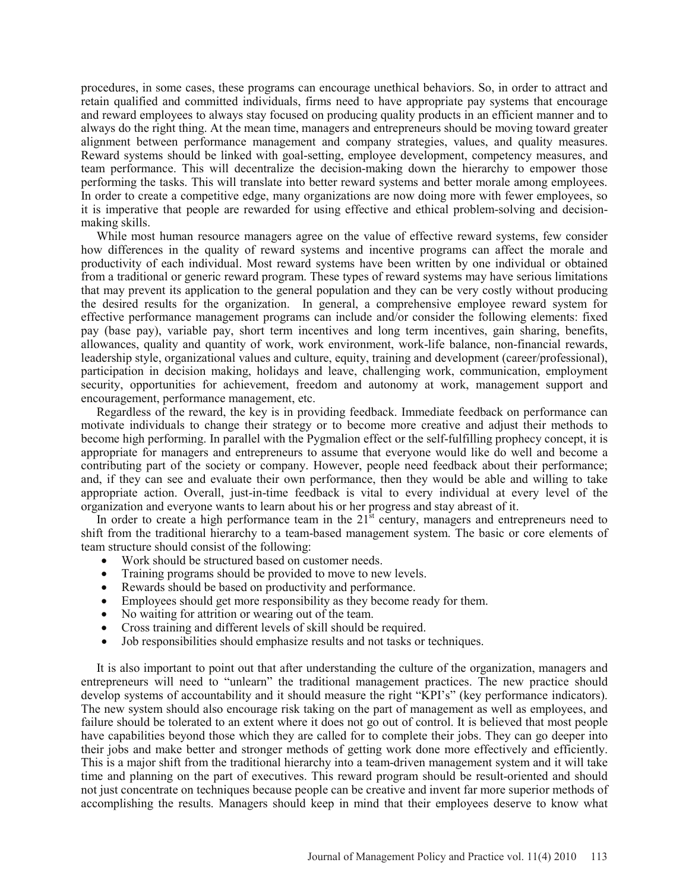procedures, in some cases, these programs can encourage unethical behaviors. So, in order to attract and retain qualified and committed individuals, firms need to have appropriate pay systems that encourage and reward employees to always stay focused on producing quality products in an efficient manner and to always do the right thing. At the mean time, managers and entrepreneurs should be moving toward greater alignment between performance management and company strategies, values, and quality measures. Reward systems should be linked with goal-setting, employee development, competency measures, and team performance. This will decentralize the decision-making down the hierarchy to empower those performing the tasks. This will translate into better reward systems and better morale among employees. In order to create a competitive edge, many organizations are now doing more with fewer employees, so it is imperative that people are rewarded for using effective and ethical problem-solving and decisionmaking skills.

While most human resource managers agree on the value of effective reward systems, few consider how differences in the quality of reward systems and incentive programs can affect the morale and productivity of each individual. Most reward systems have been written by one individual or obtained from a traditional or generic reward program. These types of reward systems may have serious limitations that may prevent its application to the general population and they can be very costly without producing the desired results for the organization. In general, a comprehensive employee reward system for effective performance management programs can include and/or consider the following elements: fixed pay (base pay), variable pay, short term incentives and long term incentives, gain sharing, benefits, allowances, quality and quantity of work, work environment, work-life balance, non-financial rewards, leadership style, organizational values and culture, equity, training and development (career/professional), participation in decision making, holidays and leave, challenging work, communication, employment security, opportunities for achievement, freedom and autonomy at work, management support and encouragement, performance management, etc.

Regardless of the reward, the key is in providing feedback. Immediate feedback on performance can motivate individuals to change their strategy or to become more creative and adjust their methods to become high performing. In parallel with the Pygmalion effect or the self-fulfilling prophecy concept, it is appropriate for managers and entrepreneurs to assume that everyone would like do well and become a contributing part of the society or company. However, people need feedback about their performance; and, if they can see and evaluate their own performance, then they would be able and willing to take appropriate action. Overall, just-in-time feedback is vital to every individual at every level of the organization and everyone wants to learn about his or her progress and stay abreast of it.

In order to create a high performance team in the  $21<sup>st</sup>$  century, managers and entrepreneurs need to shift from the traditional hierarchy to a team-based management system. The basic or core elements of team structure should consist of the following:

- Work should be structured based on customer needs.
- Training programs should be provided to move to new levels.
- Rewards should be based on productivity and performance.
- Employees should get more responsibility as they become ready for them.
- No waiting for attrition or wearing out of the team.
- Cross training and different levels of skill should be required.
- Job responsibilities should emphasize results and not tasks or techniques.

It is also important to point out that after understanding the culture of the organization, managers and entrepreneurs will need to "unlearn" the traditional management practices. The new practice should develop systems of accountability and it should measure the right "KPI's" (key performance indicators). The new system should also encourage risk taking on the part of management as well as employees, and failure should be tolerated to an extent where it does not go out of control. It is believed that most people have capabilities beyond those which they are called for to complete their jobs. They can go deeper into their jobs and make better and stronger methods of getting work done more effectively and efficiently. This is a major shift from the traditional hierarchy into a team-driven management system and it will take time and planning on the part of executives. This reward program should be result-oriented and should not just concentrate on techniques because people can be creative and invent far more superior methods of accomplishing the results. Managers should keep in mind that their employees deserve to know what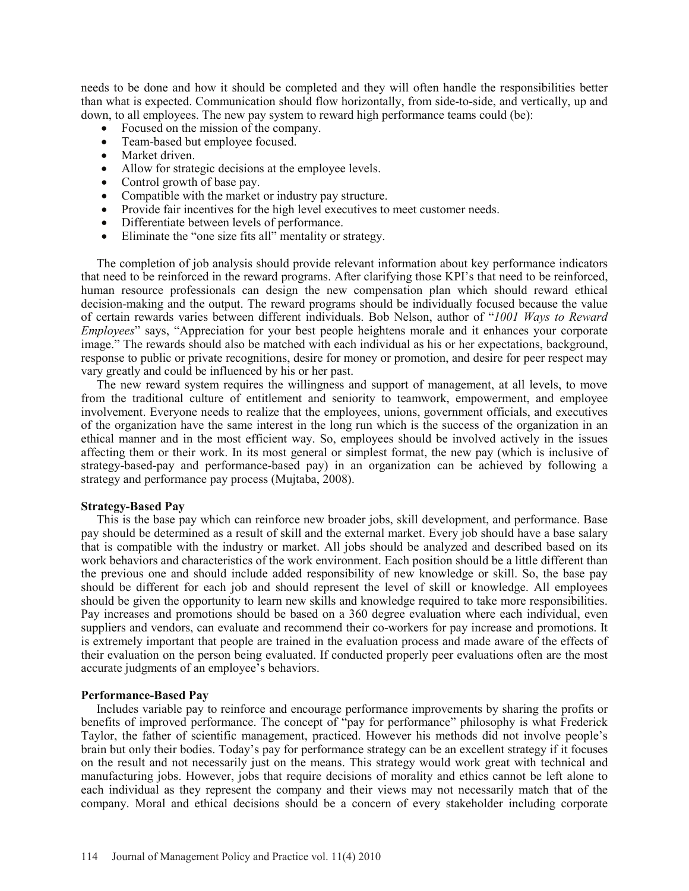needs to be done and how it should be completed and they will often handle the responsibilities better than what is expected. Communication should flow horizontally, from side-to-side, and vertically, up and down, to all employees. The new pay system to reward high performance teams could (be):

- Focused on the mission of the company.
- Team-based but employee focused.
- Market driven.
- Allow for strategic decisions at the employee levels.
- Control growth of base pay.
- Compatible with the market or industry pay structure.
- Provide fair incentives for the high level executives to meet customer needs.
- Differentiate between levels of performance.
- Eliminate the "one size fits all" mentality or strategy.

The completion of job analysis should provide relevant information about key performance indicators that need to be reinforced in the reward programs. After clarifying those KPI's that need to be reinforced, human resource professionals can design the new compensation plan which should reward ethical decision-making and the output. The reward programs should be individually focused because the value of certain rewards varies between different individuals. Bob Nelson, author of "*1001 Ways to Reward Employees*" says, "Appreciation for your best people heightens morale and it enhances your corporate image." The rewards should also be matched with each individual as his or her expectations, background, response to public or private recognitions, desire for money or promotion, and desire for peer respect may vary greatly and could be influenced by his or her past.

The new reward system requires the willingness and support of management, at all levels, to move from the traditional culture of entitlement and seniority to teamwork, empowerment, and employee involvement. Everyone needs to realize that the employees, unions, government officials, and executives of the organization have the same interest in the long run which is the success of the organization in an ethical manner and in the most efficient way. So, employees should be involved actively in the issues affecting them or their work. In its most general or simplest format, the new pay (which is inclusive of strategy-based-pay and performance-based pay) in an organization can be achieved by following a strategy and performance pay process (Mujtaba, 2008).

# **Strategy-Based Pay**

This is the base pay which can reinforce new broader jobs, skill development, and performance. Base pay should be determined as a result of skill and the external market. Every job should have a base salary that is compatible with the industry or market. All jobs should be analyzed and described based on its work behaviors and characteristics of the work environment. Each position should be a little different than the previous one and should include added responsibility of new knowledge or skill. So, the base pay should be different for each job and should represent the level of skill or knowledge. All employees should be given the opportunity to learn new skills and knowledge required to take more responsibilities. Pay increases and promotions should be based on a 360 degree evaluation where each individual, even suppliers and vendors, can evaluate and recommend their co-workers for pay increase and promotions. It is extremely important that people are trained in the evaluation process and made aware of the effects of their evaluation on the person being evaluated. If conducted properly peer evaluations often are the most accurate judgments of an employee's behaviors.

# **Performance-Based Pay**

Includes variable pay to reinforce and encourage performance improvements by sharing the profits or benefits of improved performance. The concept of "pay for performance" philosophy is what Frederick Taylor, the father of scientific management, practiced. However his methods did not involve people's brain but only their bodies. Today's pay for performance strategy can be an excellent strategy if it focuses on the result and not necessarily just on the means. This strategy would work great with technical and manufacturing jobs. However, jobs that require decisions of morality and ethics cannot be left alone to each individual as they represent the company and their views may not necessarily match that of the company. Moral and ethical decisions should be a concern of every stakeholder including corporate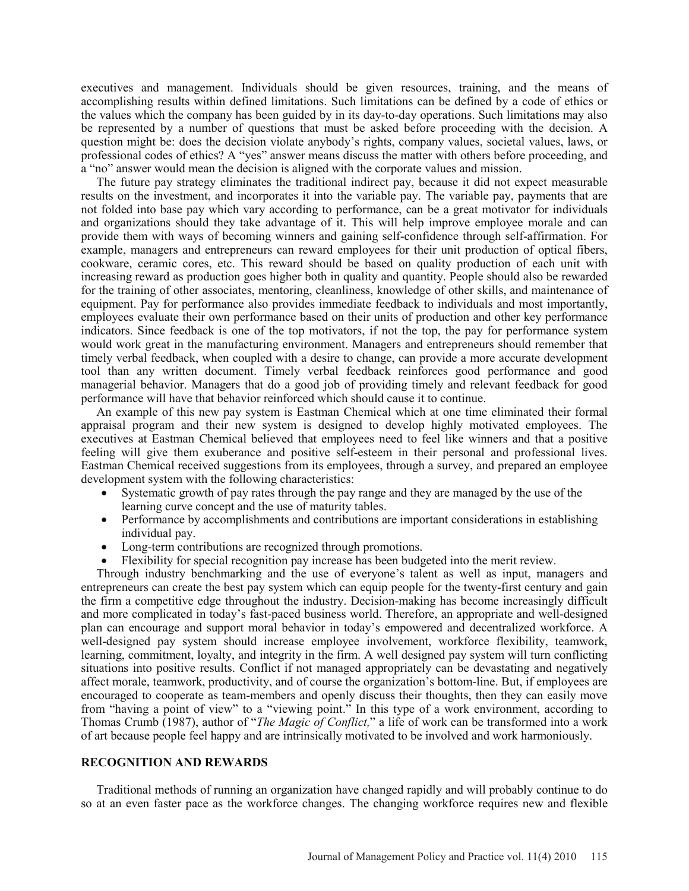executives and management. Individuals should be given resources, training, and the means of accomplishing results within defined limitations. Such limitations can be defined by a code of ethics or the values which the company has been guided by in its day-to-day operations. Such limitations may also be represented by a number of questions that must be asked before proceeding with the decision. A question might be: does the decision violate anybody's rights, company values, societal values, laws, or professional codes of ethics? A "yes" answer means discuss the matter with others before proceeding, and a "no" answer would mean the decision is aligned with the corporate values and mission.

The future pay strategy eliminates the traditional indirect pay, because it did not expect measurable results on the investment, and incorporates it into the variable pay. The variable pay, payments that are not folded into base pay which vary according to performance, can be a great motivator for individuals and organizations should they take advantage of it. This will help improve employee morale and can provide them with ways of becoming winners and gaining self-confidence through self-affirmation. For example, managers and entrepreneurs can reward employees for their unit production of optical fibers, cookware, ceramic cores, etc. This reward should be based on quality production of each unit with increasing reward as production goes higher both in quality and quantity. People should also be rewarded for the training of other associates, mentoring, cleanliness, knowledge of other skills, and maintenance of equipment. Pay for performance also provides immediate feedback to individuals and most importantly, employees evaluate their own performance based on their units of production and other key performance indicators. Since feedback is one of the top motivators, if not the top, the pay for performance system would work great in the manufacturing environment. Managers and entrepreneurs should remember that timely verbal feedback, when coupled with a desire to change, can provide a more accurate development tool than any written document. Timely verbal feedback reinforces good performance and good managerial behavior. Managers that do a good job of providing timely and relevant feedback for good performance will have that behavior reinforced which should cause it to continue.

An example of this new pay system is Eastman Chemical which at one time eliminated their formal appraisal program and their new system is designed to develop highly motivated employees. The executives at Eastman Chemical believed that employees need to feel like winners and that a positive feeling will give them exuberance and positive self-esteem in their personal and professional lives. Eastman Chemical received suggestions from its employees, through a survey, and prepared an employee development system with the following characteristics:

- Systematic growth of pay rates through the pay range and they are managed by the use of the learning curve concept and the use of maturity tables.
- Performance by accomplishments and contributions are important considerations in establishing individual pay.
- Long-term contributions are recognized through promotions.
- Flexibility for special recognition pay increase has been budgeted into the merit review.

Through industry benchmarking and the use of everyone's talent as well as input, managers and entrepreneurs can create the best pay system which can equip people for the twenty-first century and gain the firm a competitive edge throughout the industry. Decision-making has become increasingly difficult and more complicated in today's fast-paced business world. Therefore, an appropriate and well-designed plan can encourage and support moral behavior in today's empowered and decentralized workforce. A well-designed pay system should increase employee involvement, workforce flexibility, teamwork, learning, commitment, loyalty, and integrity in the firm. A well designed pay system will turn conflicting situations into positive results. Conflict if not managed appropriately can be devastating and negatively affect morale, teamwork, productivity, and of course the organization's bottom-line. But, if employees are encouraged to cooperate as team-members and openly discuss their thoughts, then they can easily move from "having a point of view" to a "viewing point." In this type of a work environment, according to Thomas Crumb (1987), author of "*The Magic of Conflict,*" a life of work can be transformed into a work of art because people feel happy and are intrinsically motivated to be involved and work harmoniously.

#### **RECOGNITION AND REWARDS**

Traditional methods of running an organization have changed rapidly and will probably continue to do so at an even faster pace as the workforce changes. The changing workforce requires new and flexible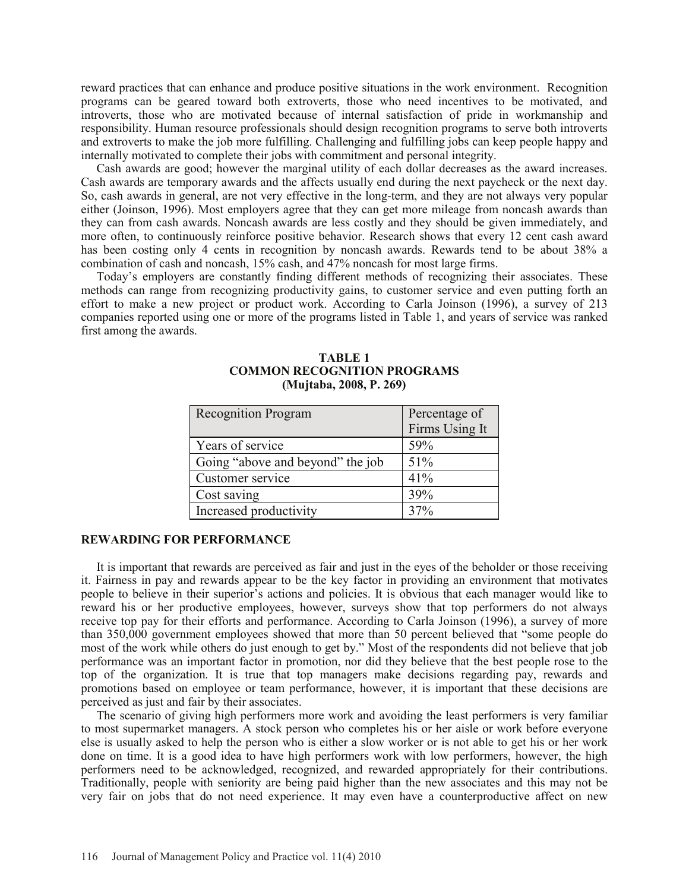reward practices that can enhance and produce positive situations in the work environment. Recognition programs can be geared toward both extroverts, those who need incentives to be motivated, and introverts, those who are motivated because of internal satisfaction of pride in workmanship and responsibility. Human resource professionals should design recognition programs to serve both introverts and extroverts to make the job more fulfilling. Challenging and fulfilling jobs can keep people happy and internally motivated to complete their jobs with commitment and personal integrity.

Cash awards are good; however the marginal utility of each dollar decreases as the award increases. Cash awards are temporary awards and the affects usually end during the next paycheck or the next day. So, cash awards in general, are not very effective in the long-term, and they are not always very popular either (Joinson, 1996). Most employers agree that they can get more mileage from noncash awards than they can from cash awards. Noncash awards are less costly and they should be given immediately, and more often, to continuously reinforce positive behavior. Research shows that every 12 cent cash award has been costing only 4 cents in recognition by noncash awards. Rewards tend to be about 38% a combination of cash and noncash, 15% cash, and 47% noncash for most large firms.

Today's employers are constantly finding different methods of recognizing their associates. These methods can range from recognizing productivity gains, to customer service and even putting forth an effort to make a new project or product work. According to Carla Joinson (1996), a survey of 213 companies reported using one or more of the programs listed in Table 1, and years of service was ranked first among the awards.

| <b>Recognition Program</b>       | Percentage of  |
|----------------------------------|----------------|
|                                  | Firms Using It |
| Years of service                 | 59%            |
| Going "above and beyond" the job | 51%            |
| Customer service                 | 41%            |
| Cost saving                      | 39%            |
| Increased productivity           | 37%            |

# **TABLE 1 COMMON RECOGNITION PROGRAMS (Mujtaba, 2008, P. 269)**

# **REWARDING FOR PERFORMANCE**

It is important that rewards are perceived as fair and just in the eyes of the beholder or those receiving it. Fairness in pay and rewards appear to be the key factor in providing an environment that motivates people to believe in their superior's actions and policies. It is obvious that each manager would like to reward his or her productive employees, however, surveys show that top performers do not always receive top pay for their efforts and performance. According to Carla Joinson (1996), a survey of more than 350,000 government employees showed that more than 50 percent believed that "some people do most of the work while others do just enough to get by." Most of the respondents did not believe that job performance was an important factor in promotion, nor did they believe that the best people rose to the top of the organization. It is true that top managers make decisions regarding pay, rewards and promotions based on employee or team performance, however, it is important that these decisions are perceived as just and fair by their associates.

The scenario of giving high performers more work and avoiding the least performers is very familiar to most supermarket managers. A stock person who completes his or her aisle or work before everyone else is usually asked to help the person who is either a slow worker or is not able to get his or her work done on time. It is a good idea to have high performers work with low performers, however, the high performers need to be acknowledged, recognized, and rewarded appropriately for their contributions. Traditionally, people with seniority are being paid higher than the new associates and this may not be very fair on jobs that do not need experience. It may even have a counterproductive affect on new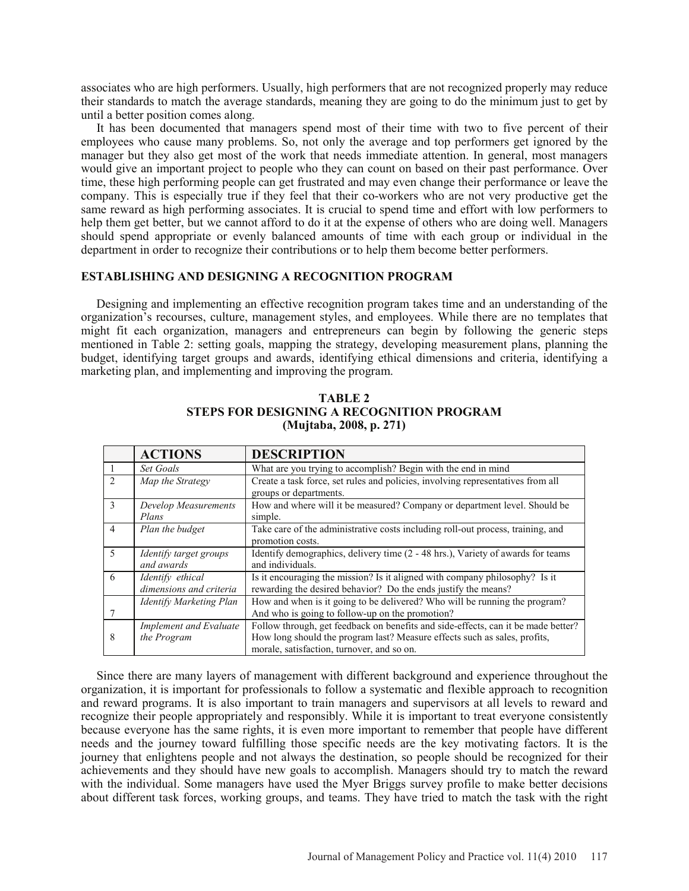associates who are high performers. Usually, high performers that are not recognized properly may reduce their standards to match the average standards, meaning they are going to do the minimum just to get by until a better position comes along.

It has been documented that managers spend most of their time with two to five percent of their employees who cause many problems. So, not only the average and top performers get ignored by the manager but they also get most of the work that needs immediate attention. In general, most managers would give an important project to people who they can count on based on their past performance. Over time, these high performing people can get frustrated and may even change their performance or leave the company. This is especially true if they feel that their co-workers who are not very productive get the same reward as high performing associates. It is crucial to spend time and effort with low performers to help them get better, but we cannot afford to do it at the expense of others who are doing well. Managers should spend appropriate or evenly balanced amounts of time with each group or individual in the department in order to recognize their contributions or to help them become better performers.

#### **ESTABLISHING AND DESIGNING A RECOGNITION PROGRAM**

Designing and implementing an effective recognition program takes time and an understanding of the organization's recourses, culture, management styles, and employees. While there are no templates that might fit each organization, managers and entrepreneurs can begin by following the generic steps mentioned in Table 2: setting goals, mapping the strategy, developing measurement plans, planning the budget, identifying target groups and awards, identifying ethical dimensions and criteria, identifying a marketing plan, and implementing and improving the program.

|                | <b>ACTIONS</b>                              | <b>DESCRIPTION</b>                                                                                                                                                                                           |
|----------------|---------------------------------------------|--------------------------------------------------------------------------------------------------------------------------------------------------------------------------------------------------------------|
|                | Set Goals                                   | What are you trying to accomplish? Begin with the end in mind                                                                                                                                                |
| 2              | Map the Strategy                            | Create a task force, set rules and policies, involving representatives from all<br>groups or departments.                                                                                                    |
| $\mathcal{E}$  | Develop Measurements<br>Plans               | How and where will it be measured? Company or department level. Should be<br>simple.                                                                                                                         |
| $\overline{4}$ | Plan the budget                             | Take care of the administrative costs including roll-out process, training, and<br>promotion costs.                                                                                                          |
| 5              | Identify target groups<br>and awards        | Identify demographics, delivery time (2 - 48 hrs.), Variety of awards for teams<br>and individuals.                                                                                                          |
| 6              | Identify ethical<br>dimensions and criteria | Is it encouraging the mission? Is it aligned with company philosophy? Is it<br>rewarding the desired behavior? Do the ends justify the means?                                                                |
|                | Identify Marketing Plan                     | How and when is it going to be delivered? Who will be running the program?<br>And who is going to follow-up on the promotion?                                                                                |
| 8              | Implement and Evaluate<br>the Program       | Follow through, get feedback on benefits and side-effects, can it be made better?<br>How long should the program last? Measure effects such as sales, profits,<br>morale, satisfaction, turnover, and so on. |

**TABLE 2 STEPS FOR DESIGNING A RECOGNITION PROGRAM (Mujtaba, 2008, p. 271)**

Since there are many layers of management with different background and experience throughout the organization, it is important for professionals to follow a systematic and flexible approach to recognition and reward programs. It is also important to train managers and supervisors at all levels to reward and recognize their people appropriately and responsibly. While it is important to treat everyone consistently because everyone has the same rights, it is even more important to remember that people have different needs and the journey toward fulfilling those specific needs are the key motivating factors. It is the journey that enlightens people and not always the destination, so people should be recognized for their achievements and they should have new goals to accomplish. Managers should try to match the reward with the individual. Some managers have used the Myer Briggs survey profile to make better decisions about different task forces, working groups, and teams. They have tried to match the task with the right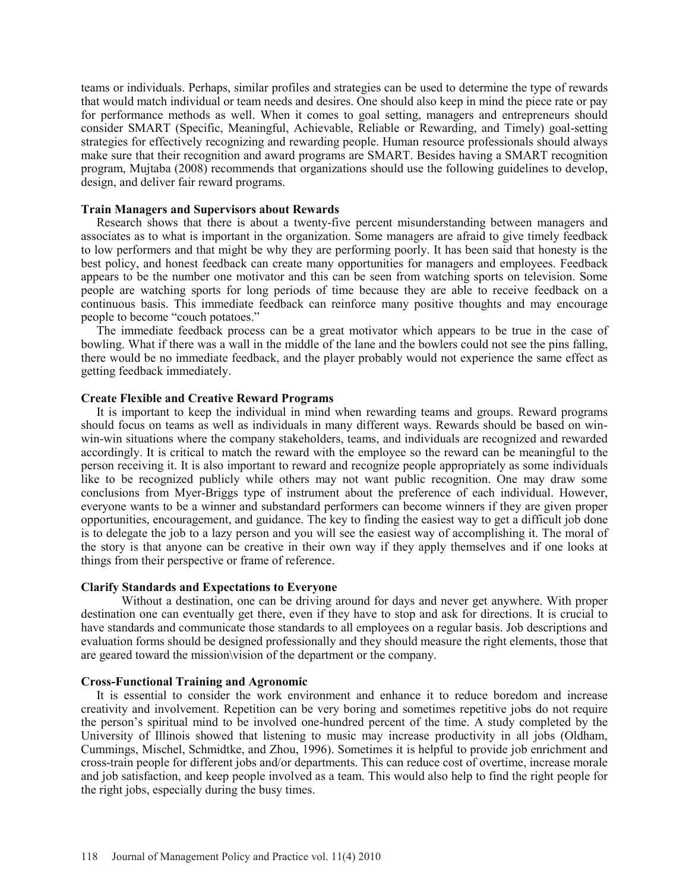teams or individuals. Perhaps, similar profiles and strategies can be used to determine the type of rewards that would match individual or team needs and desires. One should also keep in mind the piece rate or pay for performance methods as well. When it comes to goal setting, managers and entrepreneurs should consider SMART (Specific, Meaningful, Achievable, Reliable or Rewarding, and Timely) goal-setting strategies for effectively recognizing and rewarding people. Human resource professionals should always make sure that their recognition and award programs are SMART. Besides having a SMART recognition program, Mujtaba (2008) recommends that organizations should use the following guidelines to develop, design, and deliver fair reward programs.

#### **Train Managers and Supervisors about Rewards**

Research shows that there is about a twenty-five percent misunderstanding between managers and associates as to what is important in the organization. Some managers are afraid to give timely feedback to low performers and that might be why they are performing poorly. It has been said that honesty is the best policy, and honest feedback can create many opportunities for managers and employees. Feedback appears to be the number one motivator and this can be seen from watching sports on television. Some people are watching sports for long periods of time because they are able to receive feedback on a continuous basis. This immediate feedback can reinforce many positive thoughts and may encourage people to become "couch potatoes."

The immediate feedback process can be a great motivator which appears to be true in the case of bowling. What if there was a wall in the middle of the lane and the bowlers could not see the pins falling, there would be no immediate feedback, and the player probably would not experience the same effect as getting feedback immediately.

# **Create Flexible and Creative Reward Programs**

It is important to keep the individual in mind when rewarding teams and groups. Reward programs should focus on teams as well as individuals in many different ways. Rewards should be based on winwin-win situations where the company stakeholders, teams, and individuals are recognized and rewarded accordingly. It is critical to match the reward with the employee so the reward can be meaningful to the person receiving it. It is also important to reward and recognize people appropriately as some individuals like to be recognized publicly while others may not want public recognition. One may draw some conclusions from Myer-Briggs type of instrument about the preference of each individual. However, everyone wants to be a winner and substandard performers can become winners if they are given proper opportunities, encouragement, and guidance. The key to finding the easiest way to get a difficult job done is to delegate the job to a lazy person and you will see the easiest way of accomplishing it. The moral of the story is that anyone can be creative in their own way if they apply themselves and if one looks at things from their perspective or frame of reference.

# **Clarify Standards and Expectations to Everyone**

Without a destination, one can be driving around for days and never get anywhere. With proper destination one can eventually get there, even if they have to stop and ask for directions. It is crucial to have standards and communicate those standards to all employees on a regular basis. Job descriptions and evaluation forms should be designed professionally and they should measure the right elements, those that are geared toward the mission\vision of the department or the company.

# **Cross-Functional Training and Agronomic**

It is essential to consider the work environment and enhance it to reduce boredom and increase creativity and involvement. Repetition can be very boring and sometimes repetitive jobs do not require the person's spiritual mind to be involved one-hundred percent of the time. A study completed by the University of Illinois showed that listening to music may increase productivity in all jobs (Oldham, Cummings, Mischel, Schmidtke, and Zhou, 1996). Sometimes it is helpful to provide job enrichment and cross-train people for different jobs and/or departments. This can reduce cost of overtime, increase morale and job satisfaction, and keep people involved as a team. This would also help to find the right people for the right jobs, especially during the busy times.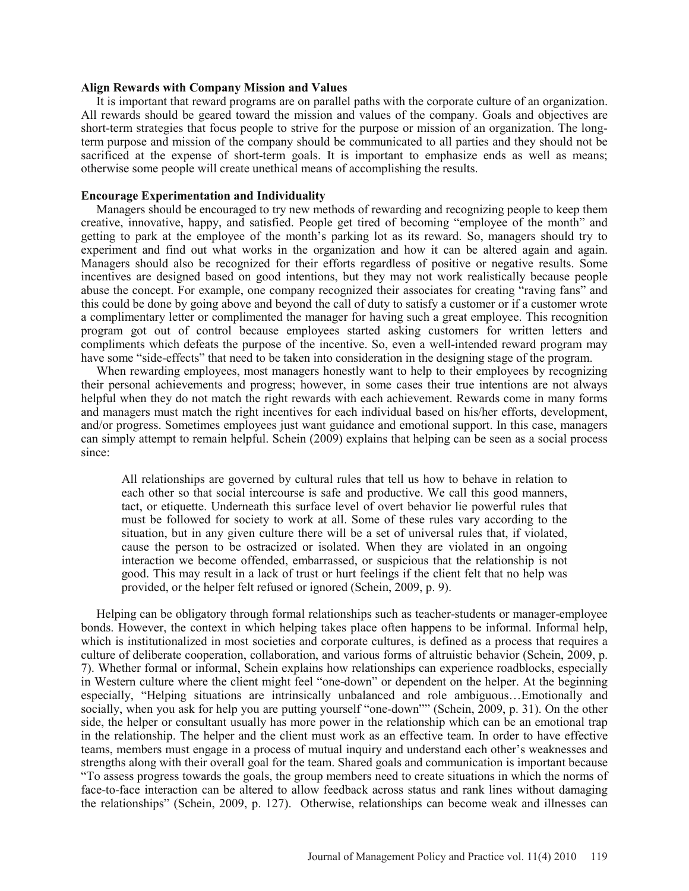#### **Align Rewards with Company Mission and Values**

It is important that reward programs are on parallel paths with the corporate culture of an organization. All rewards should be geared toward the mission and values of the company. Goals and objectives are short-term strategies that focus people to strive for the purpose or mission of an organization. The longterm purpose and mission of the company should be communicated to all parties and they should not be sacrificed at the expense of short-term goals. It is important to emphasize ends as well as means; otherwise some people will create unethical means of accomplishing the results.

#### **Encourage Experimentation and Individuality**

Managers should be encouraged to try new methods of rewarding and recognizing people to keep them creative, innovative, happy, and satisfied. People get tired of becoming "employee of the month" and getting to park at the employee of the month's parking lot as its reward. So, managers should try to experiment and find out what works in the organization and how it can be altered again and again. Managers should also be recognized for their efforts regardless of positive or negative results. Some incentives are designed based on good intentions, but they may not work realistically because people abuse the concept. For example, one company recognized their associates for creating "raving fans" and this could be done by going above and beyond the call of duty to satisfy a customer or if a customer wrote a complimentary letter or complimented the manager for having such a great employee. This recognition program got out of control because employees started asking customers for written letters and compliments which defeats the purpose of the incentive. So, even a well-intended reward program may have some "side-effects" that need to be taken into consideration in the designing stage of the program.

When rewarding employees, most managers honestly want to help to their employees by recognizing their personal achievements and progress; however, in some cases their true intentions are not always helpful when they do not match the right rewards with each achievement. Rewards come in many forms and managers must match the right incentives for each individual based on his/her efforts, development, and/or progress. Sometimes employees just want guidance and emotional support. In this case, managers can simply attempt to remain helpful. Schein (2009) explains that helping can be seen as a social process since:

All relationships are governed by cultural rules that tell us how to behave in relation to each other so that social intercourse is safe and productive. We call this good manners, tact, or etiquette. Underneath this surface level of overt behavior lie powerful rules that must be followed for society to work at all. Some of these rules vary according to the situation, but in any given culture there will be a set of universal rules that, if violated, cause the person to be ostracized or isolated. When they are violated in an ongoing interaction we become offended, embarrassed, or suspicious that the relationship is not good. This may result in a lack of trust or hurt feelings if the client felt that no help was provided, or the helper felt refused or ignored (Schein, 2009, p. 9).

Helping can be obligatory through formal relationships such as teacher-students or manager-employee bonds. However, the context in which helping takes place often happens to be informal. Informal help, which is institutionalized in most societies and corporate cultures, is defined as a process that requires a culture of deliberate cooperation, collaboration, and various forms of altruistic behavior (Schein, 2009, p. 7). Whether formal or informal, Schein explains how relationships can experience roadblocks, especially in Western culture where the client might feel "one-down" or dependent on the helper. At the beginning especially, "Helping situations are intrinsically unbalanced and role ambiguous…Emotionally and socially, when you ask for help you are putting yourself "one-down"" (Schein, 2009, p. 31). On the other side, the helper or consultant usually has more power in the relationship which can be an emotional trap in the relationship. The helper and the client must work as an effective team. In order to have effective teams, members must engage in a process of mutual inquiry and understand each other's weaknesses and strengths along with their overall goal for the team. Shared goals and communication is important because "To assess progress towards the goals, the group members need to create situations in which the norms of face-to-face interaction can be altered to allow feedback across status and rank lines without damaging the relationships" (Schein, 2009, p. 127). Otherwise, relationships can become weak and illnesses can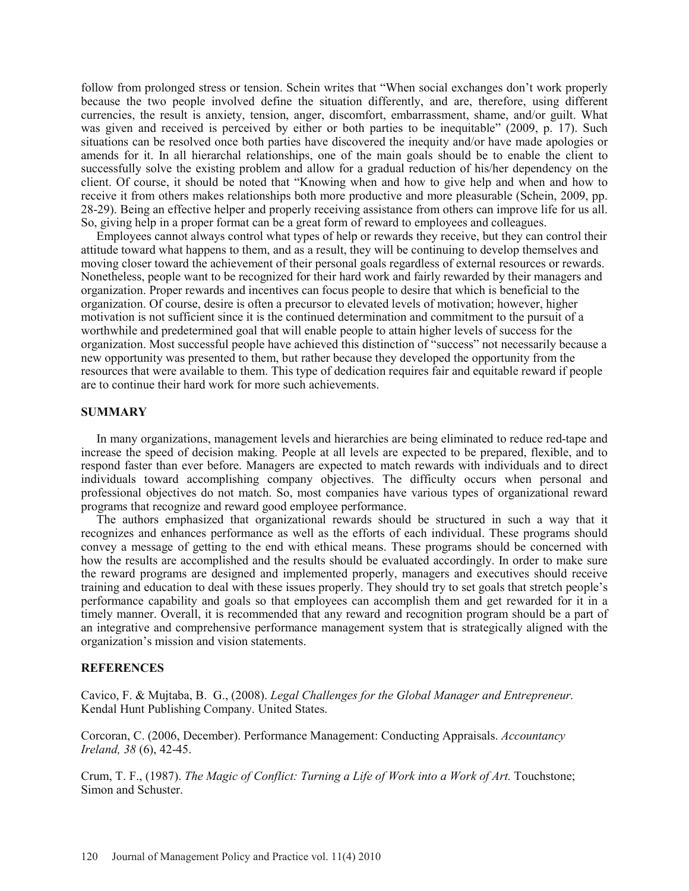follow from prolonged stress or tension. Schein writes that "When social exchanges don't work properly because the two people involved define the situation differently, and are, therefore, using different currencies, the result is anxiety, tension, anger, discomfort, embarrassment, shame, and/or guilt. What was given and received is perceived by either or both parties to be inequitable" (2009, p. 17). Such situations can be resolved once both parties have discovered the inequity and/or have made apologies or amends for it. In all hierarchal relationships, one of the main goals should be to enable the client to successfully solve the existing problem and allow for a gradual reduction of his/her dependency on the client. Of course, it should be noted that "Knowing when and how to give help and when and how to receive it from others makes relationships both more productive and more pleasurable (Schein, 2009, pp. 28-29). Being an effective helper and properly receiving assistance from others can improve life for us all. So, giving help in a proper format can be a great form of reward to employees and colleagues.

Employees cannot always control what types of help or rewards they receive, but they can control their attitude toward what happens to them, and as a result, they will be continuing to develop themselves and moving closer toward the achievement of their personal goals regardless of external resources or rewards. Nonetheless, people want to be recognized for their hard work and fairly rewarded by their managers and organization. Proper rewards and incentives can focus people to desire that which is beneficial to the organization. Of course, desire is often a precursor to elevated levels of motivation; however, higher motivation is not sufficient since it is the continued determination and commitment to the pursuit of a worthwhile and predetermined goal that will enable people to attain higher levels of success for the organization. Most successful people have achieved this distinction of "success" not necessarily because a new opportunity was presented to them, but rather because they developed the opportunity from the resources that were available to them. This type of dedication requires fair and equitable reward if people are to continue their hard work for more such achievements.

# **SUMMARY**

In many organizations, management levels and hierarchies are being eliminated to reduce red-tape and increase the speed of decision making. People at all levels are expected to be prepared, flexible, and to respond faster than ever before. Managers are expected to match rewards with individuals and to direct individuals toward accomplishing company objectives. The difficulty occurs when personal and professional objectives do not match. So, most companies have various types of organizational reward programs that recognize and reward good employee performance.

The authors emphasized that organizational rewards should be structured in such a way that it recognizes and enhances performance as well as the efforts of each individual. These programs should convey a message of getting to the end with ethical means. These programs should be concerned with how the results are accomplished and the results should be evaluated accordingly. In order to make sure the reward programs are designed and implemented properly, managers and executives should receive training and education to deal with these issues properly. They should try to set goals that stretch people's performance capability and goals so that employees can accomplish them and get rewarded for it in a timely manner. Overall, it is recommended that any reward and recognition program should be a part of an integrative and comprehensive performance management system that is strategically aligned with the organization's mission and vision statements.

# **REFERENCES**

Cavico, F. & Mujtaba, B. G., (2008). *Legal Challenges for the Global Manager and Entrepreneur.* Kendal Hunt Publishing Company. United States.

Corcoran, C. (2006, December). Performance Management: Conducting Appraisals. *Accountancy Ireland, 38* (6), 42-45.

Crum, T. F., (1987). *The Magic of Conflict: Turning a Life of Work into a Work of Art.* Touchstone; Simon and Schuster.